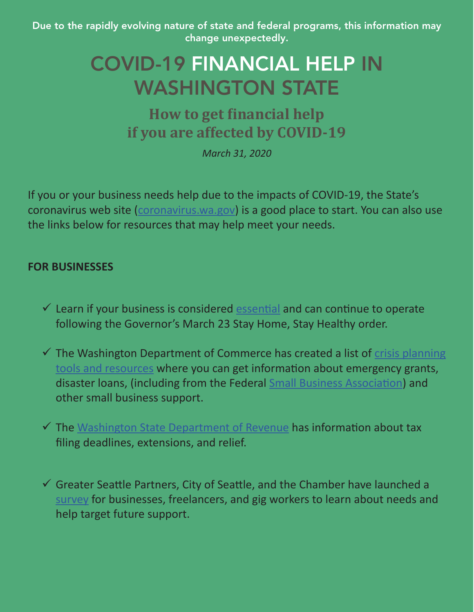Due to the rapidly evolving nature of state and federal programs, this information may change unexpectedly.

## COVID-19 FINANCIAL HELP IN WASHINGTON STATE

**How to get financial help if you are affected by COVID-19**

*March 31, 2020*

If you or your business needs help due to the impacts of COVID-19, the State's coronavirus web site [\(coronavirus.wa.gov\)](https://coronavirus.wa.gov/) is a good place to start. You can also use the links below for resources that may help meet your needs.

## **FOR BUSINESSES**

- $\checkmark$  Learn if your business is considered [essential](https://coronavirus.wa.gov/whats-open-and-closed/essential-business) and can continue to operate following the Governor's March 23 Stay Home, Stay Healthy order.
- $\checkmark$  The Washington Department of Commerce has created a list of crisis planning [tools and resources](http://startup.choosewashingtonstate.com/links/crisis/covid-19-resources/) where you can get information about emergency grants, disaster loans, (including from the Federal **Small Business Association**) and other small business support.
- $\checkmark$  The [Washington State Department of Revenue](https://dor.wa.gov/about/business-relief-during-covid-19-pandemic) has information about tax filing deadlines, extensions, and relief.
- $\checkmark$  Greater Seattle Partners, City of Seattle, and the Chamber have launched a [survey](https://seattle.surveymonkey.com/r/economic-impact-survey) for businesses, freelancers, and gig workers to learn about needs and help target future support.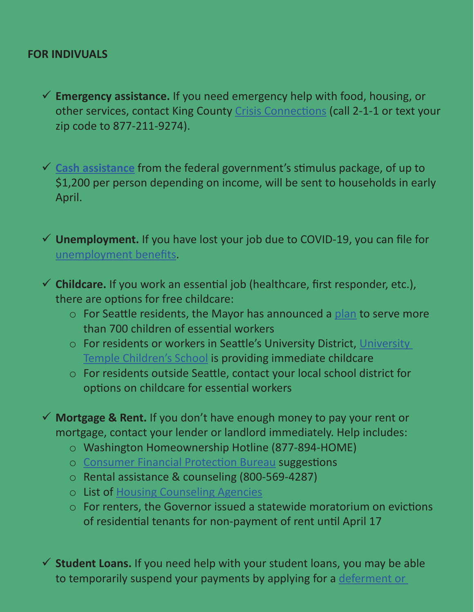## **FOR INDIVUALS**

 **Emergency assistance.** If you need emergency help with food, housing, or other services, contact King County [Crisis Connections](https://www.crisisconnections.org/king-county-2-1-1/) (call 2-1-1 or text your zip code to 877-211-9274).

 **[Cash assistance](https://www.washingtonpost.com/graphics/business/coronavirus-stimulus-check-calculator/)** from the federal government's stimulus package, of up to \$1,200 per person depending on income, will be sent to households in early April.

 **Unemployment.** If you have lost your job due to COVID-19, you can file for [unemployment benefits](https://esd.wa.gov/unemployment).

- **Childcare.** If you work an essential job (healthcare, first responder, etc.), there are options for free childcare:
	- o For Seattle residents, the Mayor has announced a [plan](https://durkan.seattle.gov/2020/03/mayor-durkan-to-issue-emergency-order-to-fund-childcare-for-first-responders-and-essential-workers-for-more-than-700-children/) to serve more than 700 children of essential workers
	- o For residents or workers in Seattle's University District, [University](https://docs.google.com/forms/d/e/1FAIpQLSdTMA4mk8KFbq15a0KYU3zB6RxOvuxKd5ZN233nSoDAqhrtjw/viewform)  [Temple Children's School](https://docs.google.com/forms/d/e/1FAIpQLSdTMA4mk8KFbq15a0KYU3zB6RxOvuxKd5ZN233nSoDAqhrtjw/viewform) is providing immediate childcare
	- o For residents outside Seattle, contact your local school district for options on childcare for essential workers

 **Mortgage & Rent.** If you don't have enough money to pay your rent or mortgage, contact your lender or landlord immediately. Help includes:

- o Washington Homeownership Hotline (877-894-HOME)
- o [Consumer Financial Protection Bureau](https://www.consumerfinance.gov/ask-cfpb/if-i-cant-pay-my-mortgage-loan-what-are-my-options-en-268/) suggestions
- o Rental assistance & counseling (800-569-4287)
- o List of [Housing Counseling Agencies](https://apps.hud.gov/offices/hsg/sfh/hcc/hcs.cfm?webListAction=search&searchstate=WA)
- o For renters, the Governor issued a statewide moratorium on evictions of residential tenants for non-payment of rent until April 17

 $\checkmark$  **Student Loans.** If you need help with your student loans, you may be able to temporarily suspend your payments by applying for a [deferment or](https://studentaid.gov/manage-loans/lower-payments/get-temporary-relief)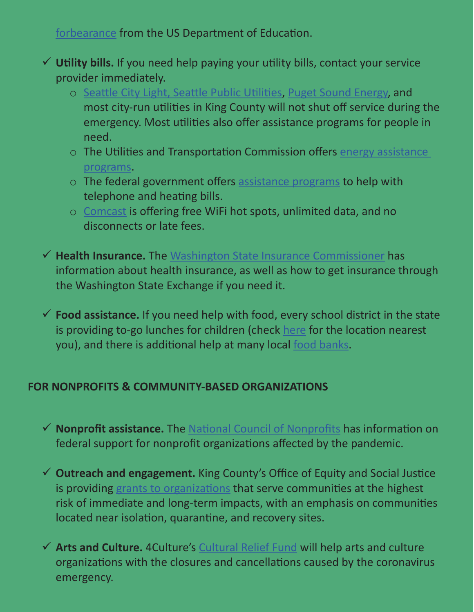[forbearance](https://studentaid.gov/manage-loans/lower-payments/get-temporary-relief) from the US Department of Education.

- **Utility bills.** If you need help paying your utility bills, contact your service provider immediately.
	- o [Seattle City Light, Seattle Public Utilities](https://www.seattle.gov/utilities/about-us/email-question), [Puget Sound Energy](https://www.pse.com/press-release/details/learn-about-our-covid-19-response-plan), and most city-run utilities in King County will not shut off service during the emergency. Most utilities also offer assistance programs for people in need.
	- o The Utilities and Transportation Commission offers [energy assistance](https://www.utc.wa.gov/consumers/energy/Pages/energyAssistance.aspx)  [programs.](https://www.utc.wa.gov/consumers/energy/Pages/energyAssistance.aspx)
	- o The federal government offers [assistance programs](https://www.usa.gov/help-with-bills) to help with telephone and heating bills.
	- o [Comcast](https://corporate.comcast.com/covid-19) is offering free WiFi hot spots, unlimited data, and no disconnects or late fees.
- **Health Insurance.** The [Washington State Insurance Commissioner](https://www.insurance.wa.gov/coronavirus) has information about health insurance, as well as how to get insurance through the Washington State Exchange if you need it.
- **Food assistance.** If you need help with food, every school district in the state is providing to-go lunches for children (check [here](https://www.uwkc.org/free-meals-during-school-closures/) for the location nearest you), and there is additional help at many local [food banks](https://agr.wa.gov/services/food-access/access-food-near-you).

## **FOR NONPROFITS & COMMUNITY-BASED ORGANIZATIONS**

- **Nonprofit assistance.** The [National Council of Nonprofits](https://www.councilofnonprofits.org/trends-policy-issues/initial-analysis-of-the-coronavirus-aid-relief-and-economic-security-act-cares?mc_cid=62aba322d8&mc_eid=a83eca1313) has information on federal support for nonprofit organizations affected by the pandemic.
- **Outreach and engagement.** King County's Office of Equity and Social Justice is providing [grants to organizations](https://www.kingcounty.gov/elected/executive/equity-social-justice.aspx) that serve communities at the highest risk of immediate and long-term impacts, with an emphasis on communities located near isolation, quarantine, and recovery sites.
- **Arts and Culture.** 4Culture's [Cultural Relief Fund](https://www.4culture.org/covid-19-response/) will help arts and culture organizations with the closures and cancellations caused by the coronavirus emergency.